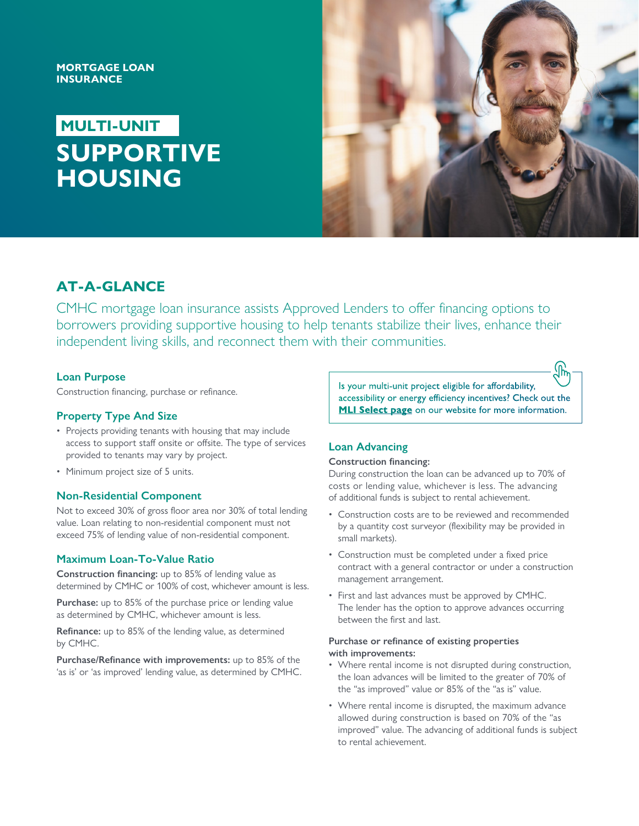## **MORTGAGE LOAN INSURANCE**

# **MULTI-UNIT SUPPORTIVE HOUSING**



## **AT-A-GLANCE**

CMHC mortgage loan insurance assists Approved Lenders to offer financing options to borrowers providing supportive housing to help tenants stabilize their lives, enhance their independent living skills, and reconnect them with their communities.

## **Loan Purpose**

Construction financing, purchase or refinance.

## **Property Type And Size**

- Projects providing tenants with housing that may include access to support staff onsite or offsite. The type of services provided to tenants may vary by project.
- Minimum project size of 5 units.

## **Non-Residential Component**

Not to exceed 30% of gross floor area nor 30% of total lending value. Loan relating to non-residential component must not exceed 75% of lending value of non-residential component.

## **Maximum Loan-To-Value Ratio**

**Construction financing:** up to 85% of lending value as determined by CMHC or 100% of cost, whichever amount is less.

**Purchase:** up to 85% of the purchase price or lending value as determined by CMHC, whichever amount is less.

**Refinance:** up to 85% of the lending value, as determined by CMHC.

**Purchase/Refinance with improvements:** up to 85% of the 'as is' or 'as improved' lending value, as determined by CMHC. Is your multi-unit project eligible for affordability, accessibility or energy efficiency incentives? Check out the **[MLI Select page](https://www.cmhc-schl.gc.ca/en/professionals/project-funding-and-mortgage-financing/mortgage-loan-insurance/multi-unit-insurance/mliselect)** on our website for more information.

## **Loan Advancing**

#### **Construction financing:**

During construction the loan can be advanced up to 70% of costs or lending value, whichever is less. The advancing of additional funds is subject to rental achievement.

- Construction costs are to be reviewed and recommended by a quantity cost surveyor (flexibility may be provided in small markets).
- Construction must be completed under a fixed price contract with a general contractor or under a construction management arrangement.
- First and last advances must be approved by CMHC. The lender has the option to approve advances occurring between the first and last.

#### **Purchase or refinance of existing properties with improvements:**

- Where rental income is not disrupted during construction, the loan advances will be limited to the greater of 70% of the "as improved" value or 85% of the "as is" value.
- Where rental income is disrupted, the maximum advance allowed during construction is based on 70% of the "as improved" value. The advancing of additional funds is subject to rental achievement.